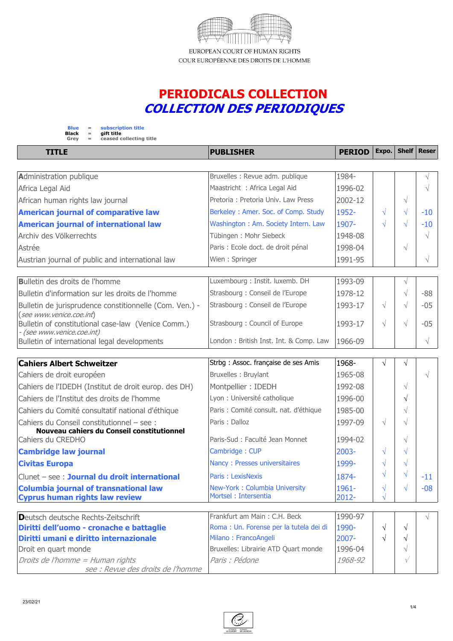

ELIROPEAN COLIRT OF HUMAN RIGHTS COUR EUROPÉENNE DES DROITS DE L'HOMME

## **PERIODICALS COLLECTION** *COLLECTION DES PERIODIQUES*



**TITLE PUBLISHER PERIOD Expo. Shelf Reser Administration publique example 3 and 3 and 3 and 3 and 3 and 3 and 3 and 3 and 3 and 4 and 4 and 5 and 5 and 5 and 6 and 5 and 6 and 6 and 6 and 6 and 6 and 6 and 6 and 6 and 6 and 6 and 6 and 6 and 6 and 6 and 6 and 6 a** Africa Legal Aid  $\sim$  1996-02  $\mid$   $\sim$   $\mid$   $\sim$ African human rights law journal  $\sim$  Pretoria : Pretoria Univ. Law Press 2002-12  $\sim$ **American journal of comparative law** Berkeley : Amer. Soc. of Comp. Study  $\begin{array}{c|c|c|c|c} 1952- & \sqrt{ } & \sqrt{ } & -10 \end{array}$ **American iournal of international law** Washington : Am. Society Intern. Law  $\begin{array}{c|c|c|c|c} 1907- & \sqrt{1} & \sqrt{1} & -10 \end{array}$ Archiv des Völkerrechts Tübingen : Mohr Siebeck 1948-08 in the Volker van de Volkerrechts in de Volkerrechts i Astrée **Paris : Ecole doct. de droit pénal de la paris : Ecole doct. de droit pénal de la 1998-04 de la vie** Austrian journal of public and international law  $\blacksquare$  Wien : Springer  $\blacksquare$  1991-95  $\blacksquare$ **Bulletin des droits de l'homme Luxembourg : Luxembourg : Instit. luxemb. DH 1993-09**  $\vert$ Bulletin d'information sur les droits de l'homme Strasbourg : Conseil de l'Europe  $1978-12$   $\rightarrow$   $\rightarrow$  -88 Bulletin de jurisprudence constitionnelle (Com. Ven.) - (*see www.venice.coe.int*) Strasbourg : Conseil de l'Europe  $\begin{array}{c|c} |1993-17 & | \sqrt{ } & |\sqrt{ } & -05 \end{array}$ Bulletin of constitutional case-law (Venice Comm.) *- (see www.venice.coe.int)* Strasbourg : Council of Europe  $\begin{array}{c|c|c|c|c} |1993-17 & \sqrt{ } & \sqrt{ } & -05 \end{array}$ Bulletin of international legal developments  $\vert$ London : British Inst. Int. & Comp. Law  $\vert$ 1966-09  $\vert$   $\vert$   $\vert$   $\vert$ **Cahiers Albert Schweitzer** Strbg : Assoc. française de ses Amis  $\begin{array}{c|c|c|c|c} \hline \end{array}$  1968-  $\begin{array}{c|c|c} \hline \end{array}$ Cahiers de droit européen  $\sim$  Bruxelles : Bruylant  $\sim$  1965-08  $\sim$   $\sim$ Cahiers de l'IDEDH (Institut de droit europ. des DH)  $\blacksquare$ Montpellier : IDEDH 1992-08  $\blacksquare$   $\Downarrow$ Cahiers de l'Institut des droits de l'homme Lyon : Université catholique 1996-00  $\vert$   $\vert$   $\vert$ Cahiers du Comité consultatif national d'éthique  $\qquad \qquad$  Paris : Comité consult. nat. d'éthique  $\qquad$  1985-00  $\qquad$ Cahiers du Conseil constitutionnel – see :  **Nouveau cahiers du Conseil constitutionnel** Paris : Dalloz  $\begin{array}{ccc} 1997-09 & \sqrt{11} & \sqrt{11} \end{array}$ Cahiers du CREDHO Paris-Sud : Faculté Jean Monnet 1994-02 | √ **Cambridge law journal** Cambridge : CUP 2003- **Civitas Europa** Nancy : Presses universitaires 1999- ↓ √ ↓ √ Clunet – see : **Journal du droit international** Paris : LexisNexis  $\begin{array}{ccc} | & 1874- & | & \sqrt{14} & -11 \\ | & | & -11 & -11 & -11 \end{array}$ **Columbia journal of transnational law Cyprus human rights law review** New-York : Columbia University Mortsel : Intersentia 1961- 2012-  $\sqrt{2}$  $\sqrt{2}$  $\sqrt{ }$  -08 **D**eutsch deutsche Rechts-Zeitschrift Frankfurt am Main : C.H. Beck 1990-97 **Diritti dell'uomo - cronache e battaglie** Roma : Un. Forense per la tutela dei di |1990-  $\vert \sqrt{\vert}$ **Diritti umani e diritto internazionale** Milano : FrancoAngeli **1986** | 2007- │ √ │ √ Droit en quart monde  $\Box$  Bruxelles: Librairie ATD Quart monde  $\Box$  1996-04  $\Box$ *Droits de l'homme = Human rights see : Revue des droits de l'homme Paris : Pédone 1968-92*

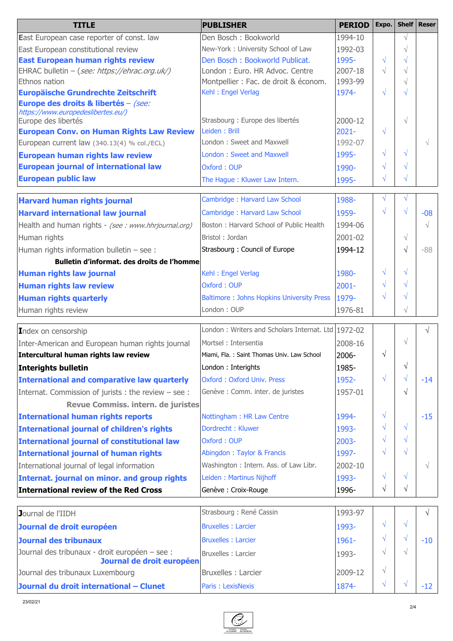| <b>TITLE</b>                                                                | <b>PUBLISHER</b>                                   | <b>PERIOD</b> | Expo.      |           | Shelf   Reser |
|-----------------------------------------------------------------------------|----------------------------------------------------|---------------|------------|-----------|---------------|
| <b>East European case reporter of const. law</b>                            | Den Bosch: Bookworld                               | 1994-10       |            | $\sqrt{}$ |               |
| East European constitutional review                                         | New-York: University School of Law                 | 1992-03       |            |           |               |
| <b>East European human rights review</b>                                    | Den Bosch: Bookworld Publicat.                     | 1995-         | $\sqrt{}$  | V         |               |
| EHRAC bulletin - (see: https://ehrac.org.uk/)                               | London: Euro. HR Advoc. Centre                     | 2007-18       | $\sqrt{}$  | $\sqrt{}$ |               |
| Ethnos nation                                                               | Montpellier : Fac. de droit & économ.              | 1993-99       |            | $\sqrt{}$ |               |
| <b>Europäische Grundrechte Zeitschrift</b>                                  | Kehl: Engel Verlag                                 | 1974-         | $\sqrt{ }$ |           |               |
| Europe des droits & libertés - (see:<br>https://www.europedeslibertes.eu/)  |                                                    |               |            |           |               |
| Europe des libertés                                                         | Strasbourg : Europe des libertés                   | 2000-12       |            | $\sqrt{}$ |               |
| <b>European Conv. on Human Rights Law Review</b>                            | Leiden: Brill                                      | $2021 -$      | $\sqrt{}$  |           |               |
| European current law (340.13(4) % col./ECL)                                 | London: Sweet and Maxwell                          | 1992-07       |            |           |               |
| <b>European human rights law review</b>                                     | <b>London: Sweet and Maxwell</b>                   | 1995-         | $\sqrt{}$  | V         |               |
| <b>European journal of international law</b>                                | Oxford: OUP                                        | 1990-         | $\sqrt{}$  |           |               |
| <b>European public law</b>                                                  | The Hague: Kluwer Law Intern.                      | 1995-         | √          | V         |               |
| <b>Harvard human rights journal</b>                                         | Cambridge: Harvard Law School                      | 1988-         | $\sqrt{}$  | V         |               |
| <b>Harvard international law journal</b>                                    | Cambridge: Harvard Law School                      | 1959-         | $\sqrt{}$  |           | $-08$         |
| Health and human rights - (see : www.hhrjournal.org)                        | Boston: Harvard School of Public Health            | 1994-06       |            |           | $\sqrt{ }$    |
|                                                                             | Bristol: Jordan                                    | 2001-02       |            | $\sqrt{}$ |               |
| Human rights                                                                |                                                    |               |            |           |               |
| Human rights information bulletin $-$ see :                                 | Strasbourg: Council of Europe                      | 1994-12       |            | V         | -88           |
| Bulletin d'informat, des droits de l'homme                                  |                                                    |               | $\sqrt{}$  | V         |               |
| Human rights law journal                                                    | Kehl: Engel Verlag                                 | 1980-         | $\sqrt{}$  | J         |               |
| <b>Human rights law review</b>                                              | Oxford: OUP                                        | $2001 -$      |            | V         |               |
| <b>Human rights quarterly</b>                                               | <b>Baltimore: Johns Hopkins University Press</b>   | 1979-         | V          |           |               |
| Human rights review                                                         | London: OUP                                        | 1976-81       |            | $\sqrt{}$ |               |
| Index on censorship                                                         | London: Writers and Scholars Internat. Ltd 1972-02 |               |            |           | N             |
| Inter-American and European human rights journal                            | Mortsel: Intersentia                               | 2008-16       |            | $\sqrt{}$ |               |
| Intercultural human rights law review                                       | Miami, Fla.: Saint Thomas Univ. Law School         | 2006-         | $\sqrt{}$  |           |               |
| Interights bulletin                                                         | London: Interights                                 | 1985-         |            | V         |               |
| International and comparative law quarterly                                 | Oxford: Oxford Univ. Press                         | 1952-         | $\sqrt{}$  | V         | $-14$         |
| Internat. Commission of jurists : the review - see :                        | Genève : Comm. inter. de juristes                  | 1957-01       |            | $\sqrt{}$ |               |
| Revue Commiss. intern. de juristes                                          |                                                    |               |            |           |               |
| International human rights reports                                          | Nottingham: HR Law Centre                          | 1994-         | $\sqrt{}$  |           | $-15$         |
| International journal of children's rights                                  | Dordrecht: Kluwer                                  | 1993-         | $\sqrt{}$  | $\sqrt{}$ |               |
| <b>International journal of constitutional law</b>                          | Oxford: OUP                                        | $2003 -$      | $\sqrt{}$  | V         |               |
| <b>International journal of human rights</b>                                | Abingdon: Taylor & Francis                         | 1997-         | $\sqrt{}$  | $\sqrt{}$ |               |
| International journal of legal information                                  | Washington: Intern. Ass. of Law Libr.              | 2002-10       |            |           | $\sqrt{ }$    |
| Internat. journal on minor. and group rights                                | Leiden: Martinus Nijhoff                           | 1993-         | $\sqrt{ }$ | √         |               |
| International review of the Red Cross                                       | Genève : Croix-Rouge                               | 1996-         | $\sqrt{}$  | $\sqrt{}$ |               |
|                                                                             |                                                    |               |            |           |               |
| Journal de l'IIDH                                                           | Strasbourg : René Cassin                           | 1993-97       |            |           | $\sqrt{ }$    |
| Journal de droit européen                                                   | <b>Bruxelles : Larcier</b>                         | 1993-         | $\sqrt{}$  | $\sqrt{}$ |               |
| Journal des tribunaux                                                       | <b>Bruxelles : Larcier</b>                         | 1961-         | $\sqrt{}$  | $\sqrt{}$ | $-10$         |
| Journal des tribunaux - droit européen - see :<br>Journal de droit européen | Bruxelles : Larcier                                | 1993-         | $\sqrt{}$  | $\sqrt{}$ |               |
| Journal des tribunaux Luxembourg                                            | Bruxelles : Larcier                                | 2009-12       | $\sqrt{}$  |           |               |
| Journal du droit international - Clunet                                     | Paris: LexisNexis                                  | 1874-         | $\sqrt{}$  |           | $-12$         |

23/02/21

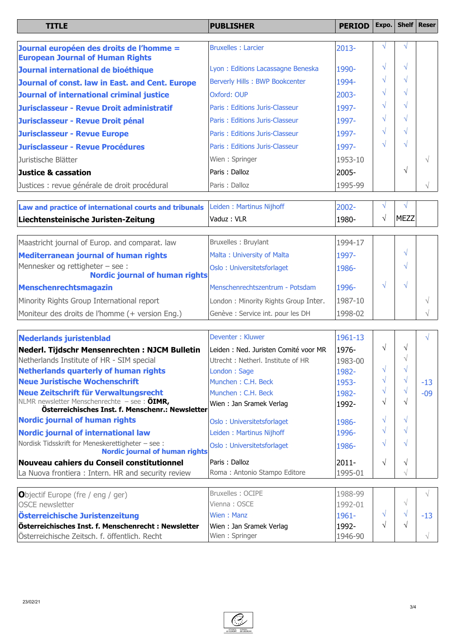| <b>TITLE</b>                                                                        | <b>PUBLISHER</b>                  | <b>PERIOD</b> | Expo.         | Shelf   Reser |
|-------------------------------------------------------------------------------------|-----------------------------------|---------------|---------------|---------------|
|                                                                                     |                                   |               |               |               |
| Journal européen des droits de l'homme =<br><b>European Journal of Human Rights</b> | <b>Bruxelles: Larcier</b>         | $2013 -$      |               |               |
| Journal international de bioéthique                                                 | Lyon: Editions Lacassagne Beneska | 1990-         | $\mathcal{N}$ |               |
| Journal of const. law in East. and Cent. Europe                                     | Berverly Hills: BWP Bookcenter    | 1994-         | $\mathcal{N}$ |               |
| Journal of international criminal justice                                           | <b>Oxford: OUP</b>                | $2003 -$      | $\mathcal{N}$ |               |
| Jurisclasseur - Revue Droit administratif                                           | Paris: Editions Juris-Classeur    | 1997-         | $\mathcal{N}$ |               |
| Jurisclasseur - Revue Droit pénal                                                   | Paris: Editions Juris-Classeur    | 1997-         | $\mathcal{N}$ |               |
| <b>Jurisclasseur - Revue Europe</b>                                                 | Paris: Editions Juris-Classeur    | 1997-         |               |               |
| Jurisclasseur - Revue Procédures                                                    | Paris: Editions Juris-Classeur    | 1997-         | $\mathcal{N}$ |               |
| Uuristische Blätter                                                                 | Wien: Springer                    | 1953-10       |               |               |
| Justice & cassation                                                                 | Paris: Dalloz                     | 2005-         |               |               |
| Justices : revue générale de droit procédural                                       | Paris: Dalloz                     | 1995-99       |               |               |

| Law and practice of international courts and tribunals Leiden: Martinus Nijhoff |                      | 2002-   |  |  |  |
|---------------------------------------------------------------------------------|----------------------|---------|--|--|--|
| Liechtensteinische Juristen-Zeitung                                             | $V$ aduz : VLR       | 1980-   |  |  |  |
|                                                                                 |                      |         |  |  |  |
| Maastricht journal of Furon, and comparat, law                                  | IRrivales: Rrivalant | 1004-17 |  |  |  |

| Maastricht journal of Europ. and comparat. law                     | Bruxelles: Bruylant                  | 1994-17 |  |  |
|--------------------------------------------------------------------|--------------------------------------|---------|--|--|
| <b>Mediterranean journal of human rights</b>                       | Malta: University of Malta           | 1997-   |  |  |
| Mennesker og rettigheter – see :<br>Nordic journal of human rights | Oslo: Universitetsforlaget           | 1986-   |  |  |
| Menschenrechtsmagazin                                              | Menschenrechtszentrum - Potsdam      | 1996-   |  |  |
| Minority Rights Group International report                         | London: Minority Rights Group Inter. | 1987-10 |  |  |
| Moniteur des droits de l'homme (+ version Eng.)                    | Genève : Service int. pour les DH    | 1998-02 |  |  |

| Nederlands juristenblad                                                                         | Deventer: Kluwer                      | 1961-13  |    |            | N     |
|-------------------------------------------------------------------------------------------------|---------------------------------------|----------|----|------------|-------|
| Nederl. Tijdschr Mensenrechten: NJCM Bulletin                                                   | Leiden : Ned. Juristen Comité voor MR | 1976-    | N  |            |       |
| Netherlands Institute of HR - SIM special                                                       | Utrecht: Netherl, Institute of HR     | 1983-00  |    |            |       |
| <b>Netherlands quarterly of human rights</b>                                                    | London: Sage                          | 1982-    |    |            |       |
| Neue Juristische Wochenschrift                                                                  | Munchen: C.H. Beck                    | 1953-    | V  |            | $-13$ |
| Neue Zeitschrift für Verwaltungsrecht                                                           | Munchen: C.H. Beck                    | 1982-    |    |            | $-09$ |
| NLMR newsletter Menschenrechte - see: ÖIMR,<br>Österreichisches Inst. f. Menschenr.: Newsletter | Wien: Jan Sramek Verlag               | 1992-    |    |            |       |
| <b>Nordic journal of human rights</b>                                                           | Oslo: Universitetsforlaget            | 1986-    |    |            |       |
| Nordic journal of international law                                                             | Leiden: Martinus Nijhoff              | 1996-    |    |            |       |
| Nordisk Tidsskrift for Meneskerettigheter - see :<br><b>Nordic journal of human rights</b>      | Oslo: Universitetsforlaget            | 1986-    |    |            |       |
| Nouveau cahiers du Conseil constitutionnel                                                      | Paris: Dalloz                         | $2011 -$ |    |            |       |
| La Nuova frontiera: Intern. HR and security review                                              | Roma: Antonio Stampo Editore          | 1995-01  |    |            |       |
| Objectif Europe (fre / eng / ger)                                                               | Bruxelles: OCIPE                      | 1988-99  |    |            | N     |
| <b>OSCE</b> newsletter                                                                          | Vienna: OSCE                          | 1992-01  |    | $\sqrt{ }$ |       |
| Österreichische Juristenzeitung                                                                 | Wien: Manz                            | 1961-    | ٦I |            | $-13$ |
| Österreichisches Inst. f. Menschenrecht : Newsletter                                            | Wien: Jan Sramek Verlag               | 1992-    | N  |            |       |
| Österreichische Zeitsch. f. öffentlich. Recht                                                   | Wien: Springer                        | 1946-90  |    |            |       |